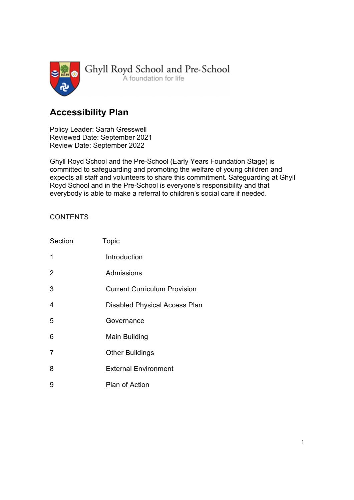

# Accessibility Plan

Policy Leader: Sarah Gresswell  Reviewed Date: September 2021  Review Date: September 2022

 Ghyll Royd School and the Pre-School (Early Years Foundation Stage) is committed to safeguarding and promoting the welfare of young children and expects all staff and volunteers to share this commitment. Safeguarding at Ghyll Royd School and in the Pre-School is everyone's responsibility and that everybody is able to make a referral to children's social care if needed. 

# **CONTENTS**

| Section        | Topic                                |  |
|----------------|--------------------------------------|--|
| 1              | Introduction                         |  |
| $\overline{2}$ | Admissions                           |  |
| 3              | <b>Current Curriculum Provision</b>  |  |
| 4              | <b>Disabled Physical Access Plan</b> |  |
| 5              | Governance                           |  |
| 6              | Main Building                        |  |
| $\overline{7}$ | <b>Other Buildings</b>               |  |
| 8              | <b>External Environment</b>          |  |
| 9              | Plan of Action                       |  |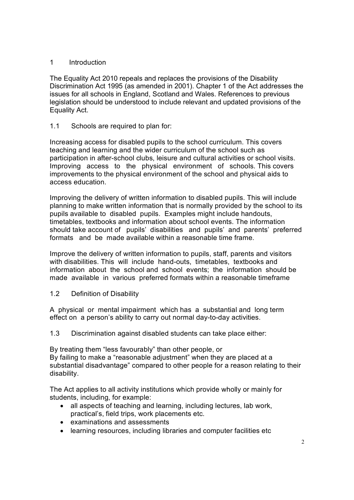#### 1 Introduction

The Equality Act 2010 repeals and replaces the provisions of the Disability Discrimination Act 1995 (as amended in 2001). Chapter 1 of the Act addresses the issues for all schools in England, Scotland and Wales. References to previous legislation should be understood to include relevant and updated provisions of the Equality Act.

# 1.1 Schools are required to plan for:

Increasing access for disabled pupils to the school curriculum. This covers teaching and learning and the wider curriculum of the school such as participation in after-school clubs, leisure and cultural activities or school visits. Improving access to the physical environment of schools. This covers improvements to the physical environment of the school and physical aids to access education.

Improving the delivery of written information to disabled pupils. This will include planning to make written information that is normally provided by the school to its pupils available to disabled pupils. Examples might include handouts, timetables, textbooks and information about school events. The information should take account of pupils' disabilities and pupils' and parents' preferred formats and be made available within a reasonable time frame.

Improve the delivery of written information to pupils, staff, parents and visitors with disabilities. This will include hand-outs, timetables, textbooks and information about the school and school events; the information should be made available in various preferred formats within a reasonable timeframe

1.2 Definition of Disability

A physical or mental impairment which has a substantial and long term effect on a person's ability to carry out normal day-to-day activities.

1.3 Discrimination against disabled students can take place either:

By treating them "less favourably" than other people, or By failing to make a "reasonable adjustment" when they are placed at a

substantial disadvantage" compared to other people for a reason relating to their disability.

The Act applies to all activity institutions which provide wholly or mainly for students, including, for example:

- all aspects of teaching and learning, including lectures, lab work, practical's, field trips, work placements etc.
- examinations and assessments
- learning resources, including libraries and computer facilities etc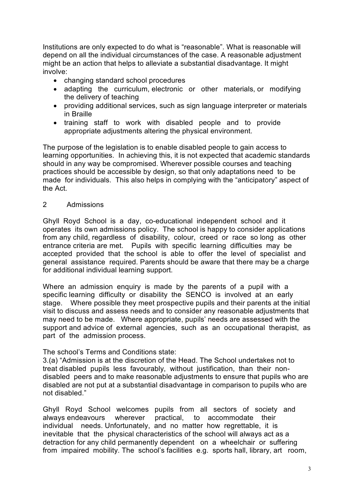Institutions are only expected to do what is "reasonable". What is reasonable will depend on all the individual circumstances of the case. A reasonable adjustment might be an action that helps to alleviate a substantial disadvantage. It might involve:

- changing standard school procedures
- adapting the curriculum, electronic or other materials, or modifying the delivery of teaching
- providing additional services, such as sign language interpreter or materials in Braille
- training staff to work with disabled people and to provide appropriate adjustments altering the physical environment.

The purpose of the legislation is to enable disabled people to gain access to learning opportunities. In achieving this, it is not expected that academic standards should in any way be compromised. Wherever possible courses and teaching practices should be accessible by design, so that only adaptations need to be made for individuals. This also helps in complying with the "anticipatory" aspect of the Act.

#### 2 Admissions

Ghyll Royd School is a day, co-educational independent school and it operates its own admissions policy. The school is happy to consider applications from any child, regardless of disability, colour, creed or race so long as other entrance criteria are met. Pupils with specific learning difficulties may be accepted provided that the school is able to offer the level of specialist and general assistance required. Parents should be aware that there may be a charge for additional individual learning support.

Where an admission enquiry is made by the parents of a pupil with a specific learning difficulty or disability the SENCO is involved at an early stage. Where possible they meet prospective pupils and their parents at the initial visit to discuss and assess needs and to consider any reasonable adjustments that may need to be made. Where appropriate, pupils' needs are assessed with the support and advice of external agencies, such as an occupational therapist, as part of the admission process.

#### The school's Terms and Conditions state:

3.(a) "Admission is at the discretion of the Head. The School undertakes not to treat disabled pupils less favourably, without justification, than their nondisabled peers and to make reasonable adjustments to ensure that pupils who are disabled are not put at a substantial disadvantage in comparison to pupils who are not disabled."

Ghyll Royd School welcomes pupils from all sectors of society and always endeavours wherever practical, to accommodate their individual needs. Unfortunately, and no matter how regrettable, it is inevitable that the physical characteristics of the school will always act as a detraction for any child permanently dependent on a wheelchair or suffering from impaired mobility. The school's facilities e.g. sports hall, library, art room,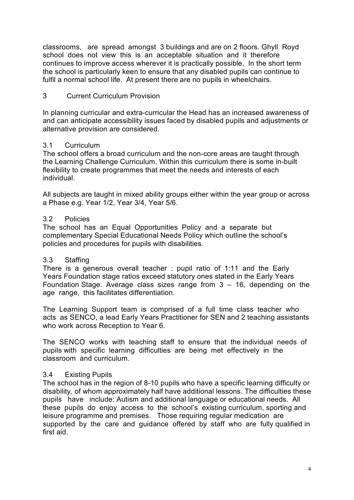classrooms, are spread amongst 3 buildings and are on 2 floors. Ghyll Royd school does not view this is an acceptable situation and it therefore continues to improve access wherever it is practically possible. In the short term the school is particularly keen to ensure that any disabled pupils can continue to fulfil a normal school life. At present there are no pupils in wheelchairs.

## 3 Current Curriculum Provision

In planning curricular and extra-curricular the Head has an increased awareness of and can anticipate accessibility issues faced by disabled pupils and adjustments or alternative provision are considered.

#### 3.1 Curriculum

The school offers a broad curriculum and the non-core areas are taught through the Learning Challenge Curriculum. Within this curriculum there is some in-built flexibility to create programmes that meet the needs and interests of each individual.

All subjects are taught in mixed ability groups either within the year group or across a Phase e.g. Year 1/2, Year 3/4, Year 5/6.

#### 3.2 Policies

The school has an Equal Opportunities Policy and a separate but complementary Special Educational Needs Policy which outline the school's policies and procedures for pupils with disabilities.

#### 3.3 Staffing

There is a generous overall teacher : pupil ratio of 1:11 and the Early Years Foundation stage ratios exceed statutory ones stated in the Early Years Foundation Stage. Average class sizes range from 3 – 16, depending on the age range, this facilitates differentiation.

The Learning Support team is comprised of a full time class teacher who acts as SENCO, a lead Early Years Practitioner for SEN and 2 teaching assistants who work across Reception to Year 6.

The SENCO works with teaching staff to ensure that the individual needs of pupils with specific learning difficulties are being met effectively in the classroom and curriculum.

#### 3.4 Existing Pupils

The school has in the region of 8-10 pupils who have a specific learning difficulty or disability, of whom approximately half have additional lessons. The difficulties these pupils have include: Autism and additional language or educational needs. All these pupils do enjoy access to the school's existing curriculum, sporting and leisure programme and premises. Those requiring regular medication are supported by the care and guidance offered by staff who are fully qualified in first aid.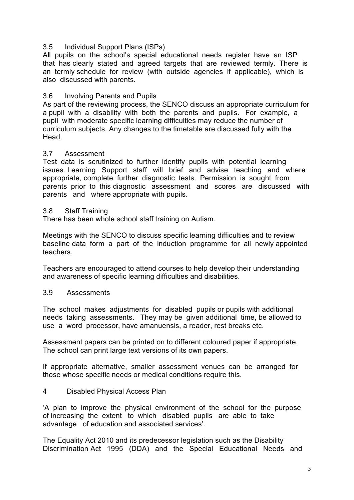#### 3.5 Individual Support Plans (ISPs)

All pupils on the school's special educational needs register have an ISP that has clearly stated and agreed targets that are reviewed termly. There is an termly schedule for review (with outside agencies if applicable), which is also discussed with parents.

## 3.6 Involving Parents and Pupils

As part of the reviewing process, the SENCO discuss an appropriate curriculum for a pupil with a disability with both the parents and pupils. For example, a pupil with moderate specific learning difficulties may reduce the number of curriculum subjects. Any changes to the timetable are discussed fully with the Head.

#### 3.7 Assessment

Test data is scrutinized to further identify pupils with potential learning issues. Learning Support staff will brief and advise teaching and where appropriate, complete further diagnostic tests. Permission is sought from parents prior to this diagnostic assessment and scores are discussed with parents and where appropriate with pupils.

#### 3.8 Staff Training

There has been whole school staff training on Autism.

Meetings with the SENCO to discuss specific learning difficulties and to review baseline data form a part of the induction programme for all newly appointed teachers.

Teachers are encouraged to attend courses to help develop their understanding and awareness of specific learning difficulties and disabilities.

#### 3.9 Assessments

The school makes adjustments for disabled pupils or pupils with additional needs taking assessments. They may be given additional time, be allowed to use a word processor, have amanuensis, a reader, rest breaks etc.

Assessment papers can be printed on to different coloured paper if appropriate. The school can print large text versions of its own papers.

If appropriate alternative, smaller assessment venues can be arranged for those whose specific needs or medical conditions require this.

#### 4 Disabled Physical Access Plan

'A plan to improve the physical environment of the school for the purpose of increasing the extent to which disabled pupils are able to take advantage of education and associated services'.

The Equality Act 2010 and its predecessor legislation such as the Disability Discrimination Act 1995 (DDA) and the Special Educational Needs and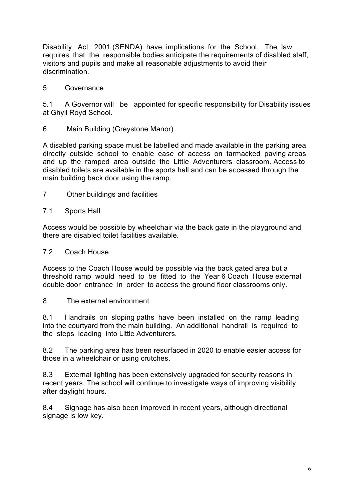Disability Act 2001 (SENDA) have implications for the School. The law requires that the responsible bodies anticipate the requirements of disabled staff, visitors and pupils and make all reasonable adjustments to avoid their discrimination.

#### 5 Governance

5.1 A Governor will be appointed for specific responsibility for Disability issues at Ghyll Royd School.

6 Main Building (Greystone Manor)

A disabled parking space must be labelled and made available in the parking area directly outside school to enable ease of access on tarmacked paving areas and up the ramped area outside the Little Adventurers classroom. Access to disabled toilets are available in the sports hall and can be accessed through the main building back door using the ramp.

7 Other buildings and facilities

## 7.1 Sports Hall

Access would be possible by wheelchair via the back gate in the playground and there are disabled toilet facilities available.

#### 7.2 Coach House

Access to the Coach House would be possible via the back gated area but a threshold ramp would need to be fitted to the Year 6 Coach House external double door entrance in order to access the ground floor classrooms only.

#### 8 The external environment

8.1 Handrails on sloping paths have been installed on the ramp leading into the courtyard from the main building. An additional handrail is required to the steps leading into Little Adventurers.

8.2 The parking area has been resurfaced in 2020 to enable easier access for those in a wheelchair or using crutches.

8.3 External lighting has been extensively upgraded for security reasons in recent years. The school will continue to investigate ways of improving visibility after daylight hours.

8.4 Signage has also been improved in recent years, although directional signage is low key.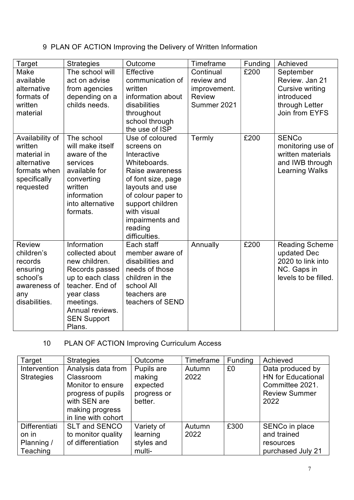# 9 PLAN OF ACTION Improving the Delivery of Written Information

| Target                                                                                                 | <b>Strategies</b>                                                                                                                                                                      | Outcome                                                                                                                                                                                                                          | Timeframe                                                               | Funding | Achieved                                                                                           |
|--------------------------------------------------------------------------------------------------------|----------------------------------------------------------------------------------------------------------------------------------------------------------------------------------------|----------------------------------------------------------------------------------------------------------------------------------------------------------------------------------------------------------------------------------|-------------------------------------------------------------------------|---------|----------------------------------------------------------------------------------------------------|
| Make<br>available<br>alternative<br>formats of<br>written<br>material                                  | The school will<br>act on advise<br>from agencies<br>depending on a<br>childs needs.                                                                                                   | Effective<br>communication of<br>written<br>information about<br>disabilities<br>throughout<br>school through<br>the use of ISP                                                                                                  | Continual<br>review and<br>improvement.<br><b>Review</b><br>Summer 2021 | £200    | September<br>Review, Jan 21<br>Cursive writing<br>introduced<br>through Letter<br>Join from EYFS   |
| Availability of<br>written<br>material in<br>alternative<br>formats when<br>specifically<br>requested  | The school<br>will make itself<br>aware of the<br>services<br>available for<br>converting<br>written<br>information<br>into alternative<br>formats.                                    | Use of coloured<br>screens on<br>Interactive<br>Whiteboards.<br>Raise awareness<br>of font size, page<br>layouts and use<br>of colour paper to<br>support children<br>with visual<br>impairments and<br>reading<br>difficulties. | Termly                                                                  | £200    | <b>SENCo</b><br>monitoring use of<br>written materials<br>and IWB through<br><b>Learning Walks</b> |
| <b>Review</b><br>children's<br>records<br>ensuring<br>school's<br>awareness of<br>any<br>disabilities. | Information<br>collected about<br>new children.<br>Records passed<br>up to each class<br>teacher. End of<br>year class<br>meetings.<br>Annual reviews.<br><b>SEN Support</b><br>Plans. | Each staff<br>member aware of<br>disabilities and<br>needs of those<br>children in the<br>school All<br>teachers are<br>teachers of SEND                                                                                         | Annually                                                                | £200    | <b>Reading Scheme</b><br>updated Dec<br>2020 to link into<br>NC. Gaps in<br>levels to be filled.   |

# 10 PLAN OF ACTION Improving Curriculum Access

| Target                                           | <b>Strategies</b>                                                                                                                    | Outcome                                                    | Timeframe      | Funding | Achieved                                                                                         |  |
|--------------------------------------------------|--------------------------------------------------------------------------------------------------------------------------------------|------------------------------------------------------------|----------------|---------|--------------------------------------------------------------------------------------------------|--|
| Intervention<br><b>Strategies</b>                | Analysis data from<br>Classroom<br>Monitor to ensure<br>progress of pupils<br>with SEN are<br>making progress<br>in line with cohort | Pupils are<br>making<br>expected<br>progress or<br>better. | Autumn<br>2022 | £0      | Data produced by<br><b>HN</b> for Educational<br>Committee 2021.<br><b>Review Summer</b><br>2022 |  |
| Differentiati<br>on in<br>Planning /<br>Teaching | <b>SLT and SENCO</b><br>to monitor quality<br>of differentiation                                                                     | Variety of<br>learning<br>styles and<br>multi-             | Autumn<br>2022 | £300    | SENCo in place<br>and trained<br>resources<br>purchased July 21                                  |  |